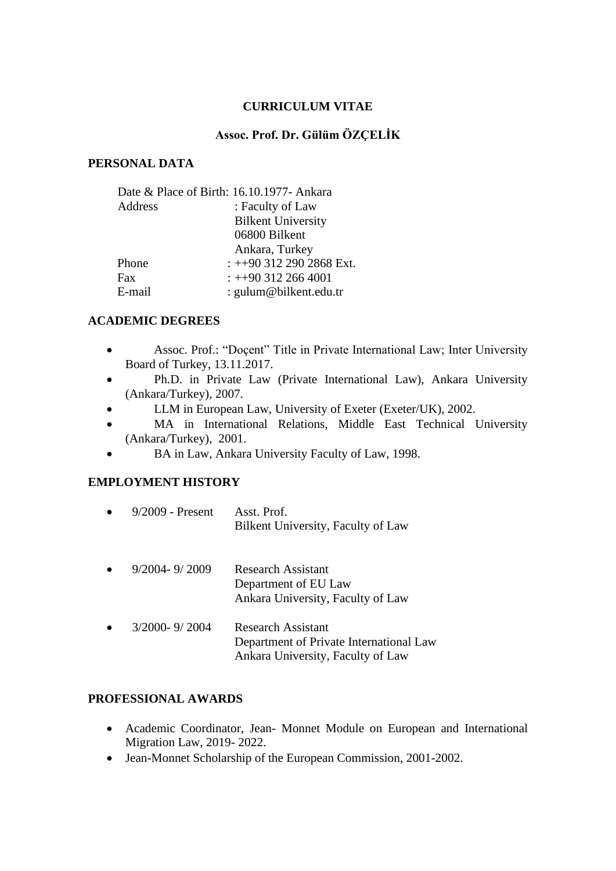### **CURRICULUM VITAE**

### **Assoc. Prof. Dr. Gülüm ÖZÇELİK**

#### **PERSONAL DATA**

| Date & Place of Birth: 16.10.1977- Ankara |                           |  |
|-------------------------------------------|---------------------------|--|
| Address                                   | : Faculty of Law          |  |
|                                           | <b>Bilkent University</b> |  |
|                                           | 06800 Bilkent             |  |
|                                           | Ankara, Turkey            |  |
| Phone                                     | $: +903122902868$ Ext.    |  |
| Fax                                       | $: +903122664001$         |  |
| E-mail                                    | : gulum@bilkent.edu.tr    |  |

#### **ACADEMIC DEGREES**

- Assoc. Prof.: "Doçent" Title in Private International Law; Inter University Board of Turkey, 13.11.2017.
- Ph.D. in Private Law (Private International Law), Ankara University (Ankara/Turkey), 2007.
- LLM in European Law, University of Exeter (Exeter/UK), 2002.
- MA in International Relations, Middle East Technical University (Ankara/Turkey), 2001.
- BA in Law, Ankara University Faculty of Law, 1998.

## **EMPLOYMENT HISTORY**

| $9/2009$ - Present | Asst Prof<br>Bilkent University, Faculty of Law                                                    |
|--------------------|----------------------------------------------------------------------------------------------------|
| $9/2004 - 9/2009$  | Research Assistant<br>Department of EU Law<br>Ankara University, Faculty of Law                    |
| 3/2000-9/2004      | Research Assistant<br>Department of Private International Law<br>Ankara University, Faculty of Law |

# **PROFESSIONAL AWARDS**

- Academic Coordinator, Jean- Monnet Module on European and International Migration Law, 2019- 2022.
- Jean-Monnet Scholarship of the European Commission, 2001-2002.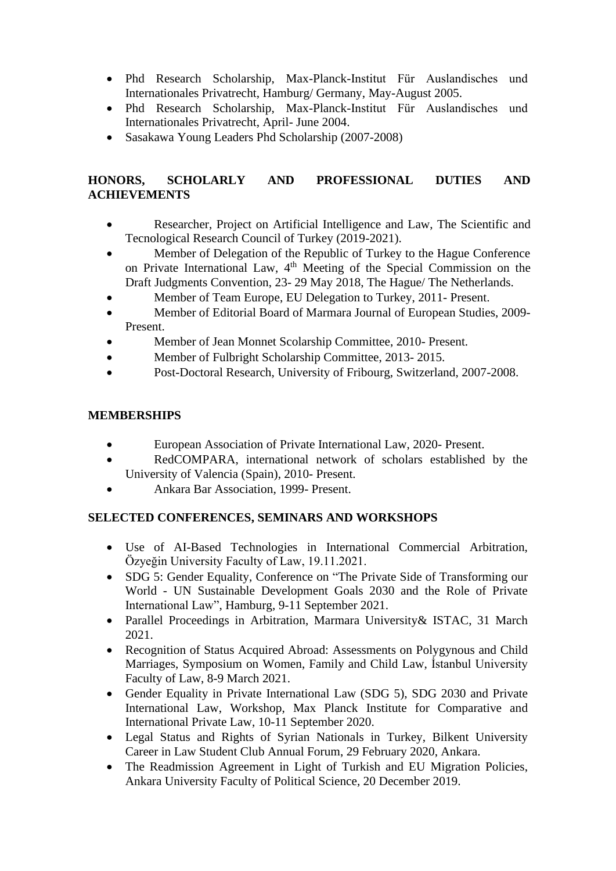- Phd Research Scholarship, Max-Planck-Institut Für Auslandisches und Internationales Privatrecht, Hamburg/ Germany, May-August 2005.
- Phd Research Scholarship, Max-Planck-Institut Für Auslandisches und Internationales Privatrecht, April- June 2004.
- Sasakawa Young Leaders Phd Scholarship (2007-2008)

# **HONORS, SCHOLARLY AND PROFESSIONAL DUTIES AND ACHIEVEMENTS**

- Researcher, Project on Artificial Intelligence and Law, The Scientific and Tecnological Research Council of Turkey (2019-2021).
- Member of Delegation of the Republic of Turkey to the Hague Conference on Private International Law, 4<sup>th</sup> Meeting of the Special Commission on the Draft Judgments Convention, 23- 29 May 2018, The Hague/ The Netherlands.
- Member of Team Europe, EU Delegation to Turkey, 2011- Present.
- Member of Editorial Board of Marmara Journal of European Studies, 2009-Present.
- Member of Jean Monnet Scolarship Committee, 2010- Present.
- Member of Fulbright Scholarship Committee, 2013-2015.
- Post-Doctoral Research, University of Fribourg, Switzerland, 2007-2008.

# **MEMBERSHIPS**

- European Association of Private International Law, 2020- Present.
- RedCOMPARA, international network of scholars established by the University of Valencia (Spain), 2010- Present.
- Ankara Bar Association, 1999- Present.

# **SELECTED CONFERENCES, SEMINARS AND WORKSHOPS**

- Use of AI-Based Technologies in International Commercial Arbitration, Özyeğin University Faculty of Law, 19.11.2021.
- SDG 5: Gender Equality, Conference on "The Private Side of Transforming our World - UN Sustainable Development Goals 2030 and the Role of Private International Law", Hamburg, 9-11 September 2021.
- Parallel Proceedings in Arbitration, Marmara University& ISTAC, 31 March 2021.
- Recognition of Status Acquired Abroad: Assessments on Polygynous and Child Marriages, Symposium on Women, Family and Child Law, İstanbul University Faculty of Law, 8-9 March 2021.
- Gender Equality in Private International Law (SDG 5), SDG 2030 and Private International Law, Workshop, Max Planck Institute for Comparative and International Private Law, 10-11 September 2020.
- Legal Status and Rights of Syrian Nationals in Turkey, Bilkent University Career in Law Student Club Annual Forum, 29 February 2020, Ankara.
- The Readmission Agreement in Light of Turkish and EU Migration Policies, Ankara University Faculty of Political Science, 20 December 2019.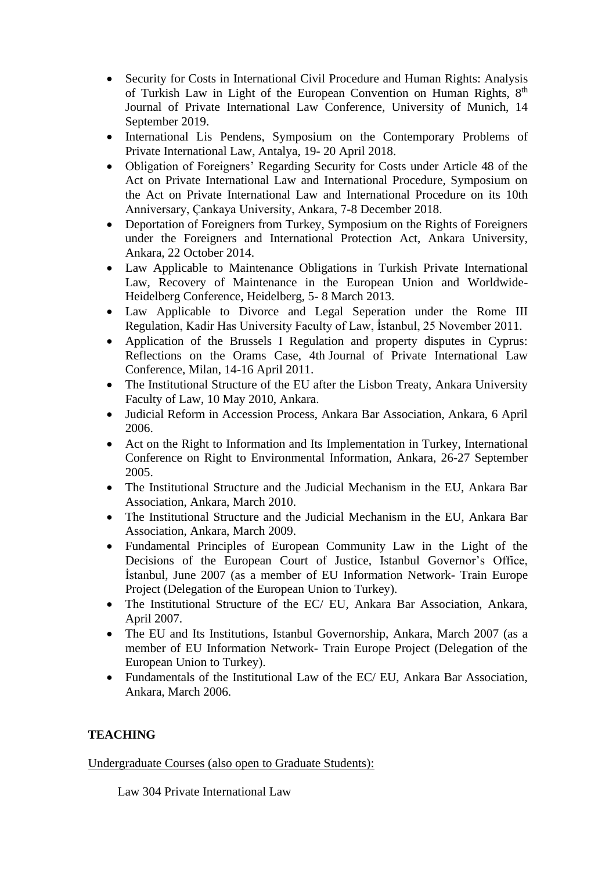- Security for Costs in International Civil Procedure and Human Rights: Analysis of Turkish Law in Light of the European Convention on Human Rights, 8<sup>th</sup> Journal of Private International Law Conference, University of Munich, 14 September 2019.
- International Lis Pendens, Symposium on the Contemporary Problems of Private International Law, Antalya, 19- 20 April 2018.
- Obligation of Foreigners' Regarding Security for Costs under Article 48 of the Act on Private International Law and International Procedure, Symposium on the Act on Private International Law and International Procedure on its 10th Anniversary, Çankaya University, Ankara, 7-8 December 2018.
- Deportation of Foreigners from Turkey, Symposium on the Rights of Foreigners under the Foreigners and International Protection Act, Ankara University, Ankara, 22 October 2014.
- Law Applicable to Maintenance Obligations in Turkish Private International Law, Recovery of Maintenance in the European Union and Worldwide-Heidelberg Conference, Heidelberg, 5- 8 March 2013.
- Law Applicable to Divorce and Legal Seperation under the Rome III Regulation, Kadir Has University Faculty of Law, İstanbul, 25 November 2011.
- Application of the Brussels I Regulation and property disputes in Cyprus: Reflections on the Orams Case, 4th Journal of Private International Law Conference, Milan, 14-16 April 2011.
- The Institutional Structure of the EU after the Lisbon Treaty, Ankara University Faculty of Law, 10 May 2010, Ankara.
- Judicial Reform in Accession Process, Ankara Bar Association, Ankara, 6 April 2006.
- Act on the Right to Information and Its Implementation in Turkey, International Conference on Right to Environmental Information, Ankara, 26-27 September 2005.
- The Institutional Structure and the Judicial Mechanism in the EU, Ankara Bar Association, Ankara, March 2010.
- The Institutional Structure and the Judicial Mechanism in the EU, Ankara Bar Association, Ankara, March 2009.
- Fundamental Principles of European Community Law in the Light of the Decisions of the European Court of Justice, Istanbul Governor's Office, İstanbul, June 2007 (as a member of EU Information Network- Train Europe Project (Delegation of the European Union to Turkey).
- The Institutional Structure of the EC/ EU, Ankara Bar Association, Ankara, April 2007.
- The EU and Its Institutions, Istanbul Governorship, Ankara, March 2007 (as a member of EU Information Network- Train Europe Project (Delegation of the European Union to Turkey).
- Fundamentals of the Institutional Law of the EC/ EU, Ankara Bar Association, Ankara, March 2006.

# **TEACHING**

## Undergraduate Courses (also open to Graduate Students):

Law 304 Private International Law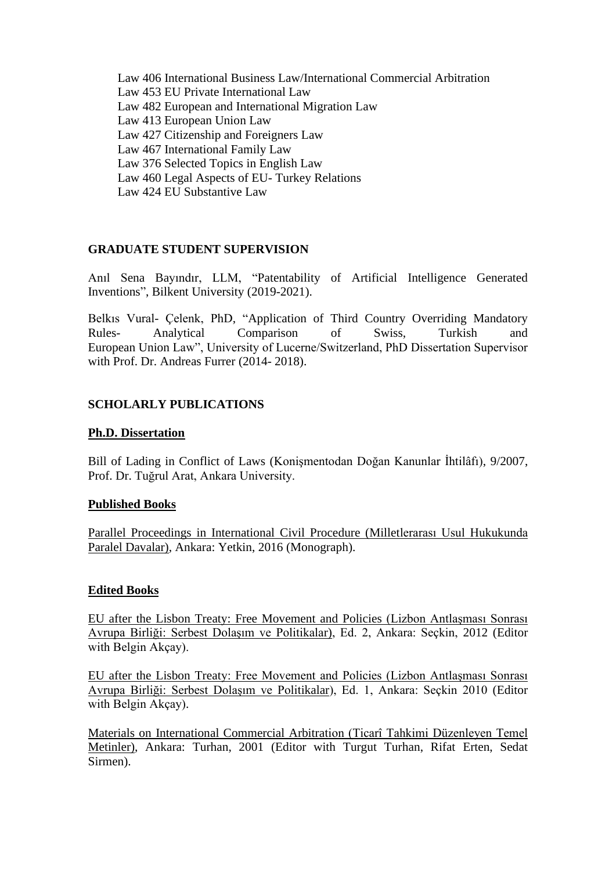Law 406 International Business Law/International Commercial Arbitration Law 453 EU Private International Law Law 482 European and International Migration Law Law 413 European Union Law Law 427 Citizenship and Foreigners Law Law 467 International Family Law Law 376 Selected Topics in English Law Law 460 Legal Aspects of EU- Turkey Relations Law 424 EU Substantive Law

### **GRADUATE STUDENT SUPERVISION**

Anıl Sena Bayındır, LLM, "Patentability of Artificial Intelligence Generated Inventions", Bilkent University (2019-2021).

Belkıs Vural- Çelenk, PhD, "Application of Third Country Overriding Mandatory Rules- Analytical Comparison of Swiss, Turkish and European Union Law", University of Lucerne/Switzerland, PhD Dissertation Supervisor with Prof. Dr. Andreas Furrer (2014- 2018).

### **SCHOLARLY PUBLICATIONS**

#### **Ph.D. Dissertation**

Bill of Lading in Conflict of Laws (Konişmentodan Doğan Kanunlar İhtilâfı), 9/2007, Prof. Dr. Tuğrul Arat, Ankara University.

#### **Published Books**

Parallel Proceedings in International Civil Procedure (Milletlerarası Usul Hukukunda Paralel Davalar), Ankara: Yetkin, 2016 (Monograph).

#### **Edited Books**

EU after the Lisbon Treaty: Free Movement and Policies (Lizbon Antlaşması Sonrası Avrupa Birliği: Serbest Dolaşım ve Politikalar), Ed. 2, Ankara: Seçkin, 2012 (Editor with Belgin Akçay).

EU after the Lisbon Treaty: Free Movement and Policies (Lizbon Antlaşması Sonrası Avrupa Birliği: Serbest Dolaşım ve Politikalar), Ed. 1, Ankara: Seçkin 2010 (Editor with Belgin Akçay).

Materials on International Commercial Arbitration (Ticarî Tahkimi Düzenleyen Temel Metinler), Ankara: Turhan, 2001 (Editor with Turgut Turhan, Rifat Erten, Sedat Sirmen).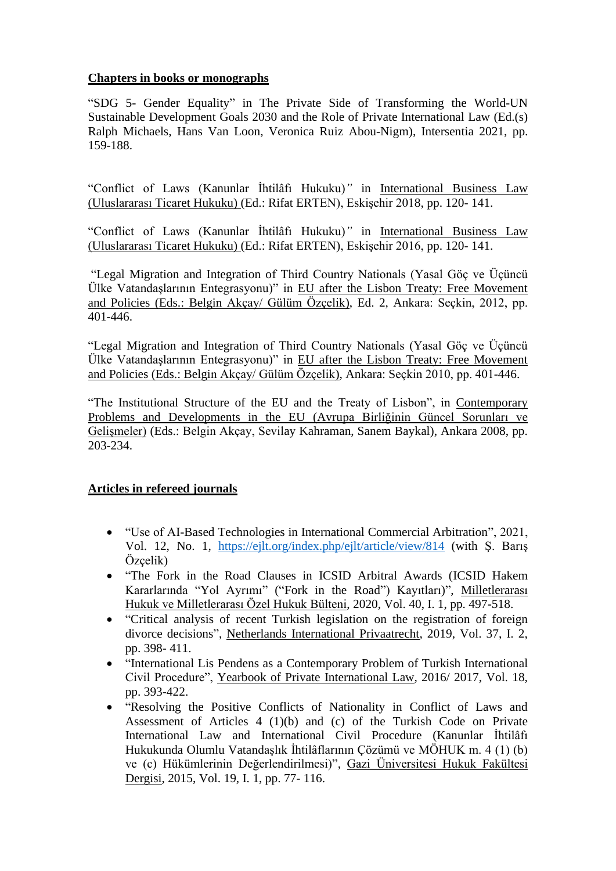## **Chapters in books or monographs**

"SDG 5- Gender Equality" in The Private Side of Transforming the World-UN Sustainable Development Goals 2030 and the Role of Private International Law (Ed.(s) Ralph Michaels, Hans Van Loon, Veronica Ruiz Abou-Nigm), Intersentia 2021, pp. 159-188.

"Conflict of Laws (Kanunlar İhtilâfı Hukuku)*"* in International Business Law (Uluslararası Ticaret Hukuku) (Ed.: Rifat ERTEN), Eskişehir 2018, pp. 120- 141.

"Conflict of Laws (Kanunlar İhtilâfı Hukuku)*"* in International Business Law (Uluslararası Ticaret Hukuku) (Ed.: Rifat ERTEN), Eskişehir 2016, pp. 120- 141.

"Legal Migration and Integration of Third Country Nationals (Yasal Göç ve Üçüncü Ülke Vatandaşlarının Entegrasyonu)" in EU after the Lisbon Treaty: Free Movement and Policies (Eds.: Belgin Akçay/ Gülüm Özçelik), Ed. 2, Ankara: Seçkin, 2012, pp. 401-446.

"Legal Migration and Integration of Third Country Nationals (Yasal Göç ve Üçüncü Ülke Vatandaşlarının Entegrasyonu)" in EU after the Lisbon Treaty: Free Movement and Policies (Eds.: Belgin Akçay/ Gülüm Özçelik), Ankara: Seçkin 2010, pp. 401-446.

"The Institutional Structure of the EU and the Treaty of Lisbon", in Contemporary Problems and Developments in the EU (Avrupa Birliğinin Güncel Sorunları ve Gelişmeler) (Eds.: Belgin Akçay, Sevilay Kahraman, Sanem Baykal), Ankara 2008, pp. 203-234.

## **Articles in refereed journals**

- "Use of AI-Based Technologies in International Commercial Arbitration", 2021, Vol. 12, No. 1, <https://ejlt.org/index.php/ejlt/article/view/814> (with Ş. Barış Özçelik)
- "The Fork in the Road Clauses in ICSID Arbitral Awards (ICSID Hakem Kararlarında "Yol Ayrımı" ("Fork in the Road") Kayıtları)", Milletlerarası Hukuk ve Milletlerarası Özel Hukuk Bülteni, 2020, Vol. 40, I. 1, pp. 497-518.
- "Critical analysis of recent Turkish legislation on the registration of foreign divorce decisions", Netherlands International Privaatrecht, 2019, Vol. 37, I. 2, pp. 398- 411.
- "International Lis Pendens as a Contemporary Problem of Turkish International Civil Procedure", Yearbook of Private International Law, 2016/ 2017, Vol. 18, pp. 393-422.
- "Resolving the Positive Conflicts of Nationality in Conflict of Laws and Assessment of Articles 4 (1)(b) and (c) of the Turkish Code on Private International Law and International Civil Procedure (Kanunlar İhtilâfı Hukukunda Olumlu Vatandaşlık İhtilâflarının Çözümü ve MÖHUK m. 4 (1) (b) ve (c) Hükümlerinin Değerlendirilmesi)", Gazi Üniversitesi Hukuk Fakültesi Dergisi, 2015, Vol. 19, I. 1, pp. 77- 116.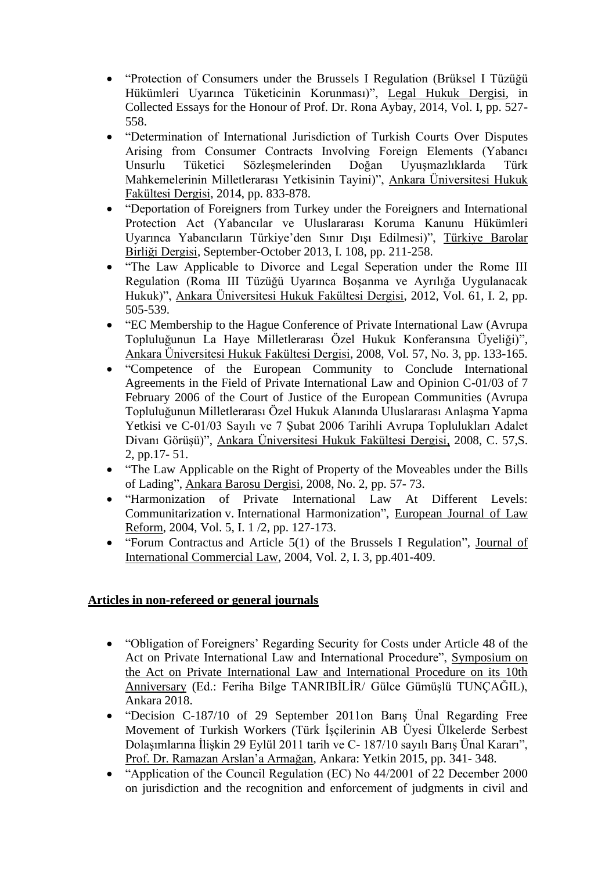- "Protection of Consumers under the Brussels I Regulation (Brüksel I Tüzüğü Hükümleri Uyarınca Tüketicinin Korunması)", Legal Hukuk Dergisi, in Collected Essays for the Honour of Prof. Dr. Rona Aybay, 2014, Vol. I, pp. 527- 558.
- "Determination of International Jurisdiction of Turkish Courts Over Disputes Arising from Consumer Contracts Involving Foreign Elements (Yabancı Unsurlu Tüketici Sözleşmelerinden Doğan Uyuşmazlıklarda Türk Mahkemelerinin Milletlerarası Yetkisinin Tayini)", Ankara Üniversitesi Hukuk Fakültesi Dergisi, 2014, pp. 833-878.
- "Deportation of Foreigners from Turkey under the Foreigners and International Protection Act (Yabancılar ve Uluslararası Koruma Kanunu Hükümleri Uyarınca Yabancıların Türkiye'den Sınır Dışı Edilmesi)", Türkiye Barolar Birliği Dergisi, September-October 2013, I. 108, pp. 211-258.
- "The Law Applicable to Divorce and Legal Seperation under the Rome III Regulation (Roma III Tüzüğü Uyarınca Boşanma ve Ayrılığa Uygulanacak Hukuk)", Ankara Üniversitesi Hukuk Fakültesi Dergisi, 2012, Vol. 61, I. 2, pp. 505-539.
- "EC Membership to the Hague Conference of Private International Law (Avrupa Topluluğunun La Haye Milletlerarası Özel Hukuk Konferansına Üyeliği)", Ankara Üniversitesi Hukuk Fakültesi Dergisi, 2008, Vol. 57, No. 3, pp. 133-165.
- "Competence of the European Community to Conclude International Agreements in the Field of Private International Law and Opinion C-01/03 of 7 February 2006 of the Court of Justice of the European Communities (Avrupa Topluluğunun Milletlerarası Özel Hukuk Alanında Uluslararası Anlaşma Yapma Yetkisi ve C-01/03 Sayılı ve 7 Şubat 2006 Tarihli Avrupa Toplulukları Adalet Divanı Görüşü)", Ankara Üniversitesi Hukuk Fakültesi Dergisi, 2008, C. 57,S. 2, pp.17- 51.
- "The Law Applicable on the Right of Property of the Moveables under the Bills of Lading", Ankara Barosu Dergisi, 2008, No. 2, pp. 57- 73.
- "Harmonization of Private International Law At Different Levels: Communitarization v. International Harmonization", European Journal of Law Reform, 2004, Vol. 5, I. 1 /2, pp. 127-173.
- "Forum Contractus and Article 5(1) of the Brussels I Regulation", Journal of International Commercial Law, 2004, Vol. 2, I. 3, pp.401-409.

# **Articles in non-refereed or general journals**

- "Obligation of Foreigners' Regarding Security for Costs under Article 48 of the Act on Private International Law and International Procedure", Symposium on the Act on Private International Law and International Procedure on its 10th Anniversary (Ed.: Feriha Bilge TANRIBİLİR/ Gülce Gümüşlü TUNÇAĞIL), Ankara 2018.
- "Decision C-187/10 of 29 September 2011on Barış Ünal Regarding Free Movement of Turkish Workers (Türk İşçilerinin AB Üyesi Ülkelerde Serbest Dolaşımlarına İlişkin 29 Eylül 2011 tarih ve C- 187/10 sayılı Barış Ünal Kararı", Prof. Dr. Ramazan Arslan'a Armağan, Ankara: Yetkin 2015, pp. 341- 348.
- "Application of the Council Regulation (EC) No 44/2001 of 22 December 2000 on jurisdiction and the recognition and enforcement of judgments in civil and